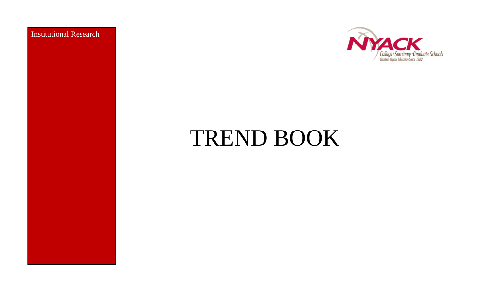Institutional Research



# TREND BOOK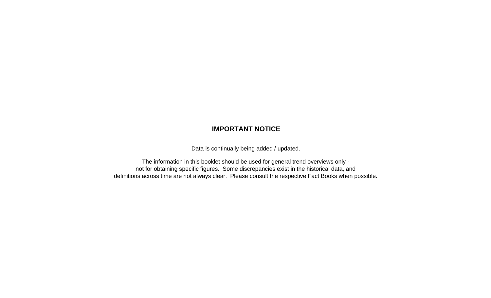#### **IMPORTANT NOTICE**

Data is continually being added / updated.

definitions across time are not always clear. Please consult the respective Fact Books when possible. not for obtaining specific figures. Some discrepancies exist in the historical data, and The information in this booklet should be used for general trend overviews only -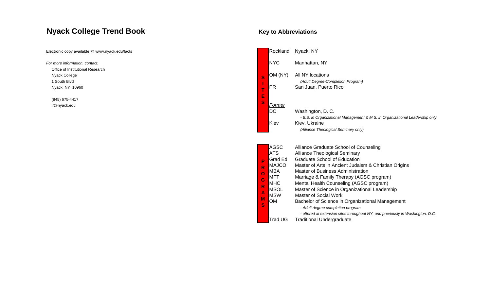#### **Nyack College Trend Boo k**

#### **Key to Abbreviations**

| Electronic copy available @ www.nyack.edu/facts |                | Rockland                    | Nyack, NY                                                                      |
|-------------------------------------------------|----------------|-----------------------------|--------------------------------------------------------------------------------|
| For more information, contact:                  |                | <b>NYC</b>                  | Manhattan, NY                                                                  |
| Office of Institutional Research                |                |                             |                                                                                |
| Nyack College                                   | S              | OM (NY)                     | All NY locations                                                               |
| 1 South Blvd                                    |                |                             | (Adult Degree-Completion Program)                                              |
| Nyack, NY 10960                                 | $\mathbf{r}$   | <b>PR</b>                   | San Juan, Puerto Rico                                                          |
| (845) 675-4417                                  | E              |                             |                                                                                |
| ir@nyack.edu                                    | S              | Former                      |                                                                                |
|                                                 |                | $\overline{\phantom{1}}$ DC | Washington, D. C.                                                              |
|                                                 |                |                             | - B.S. in Organizational Management & M.S. in Organizational Leadership only   |
|                                                 |                | Kiev                        | Kiev, Ukraine                                                                  |
|                                                 |                |                             | (Alliance Theological Seminary only)                                           |
|                                                 |                |                             |                                                                                |
|                                                 |                | <b>AGSC</b>                 | Alliance Graduate School of Counseling                                         |
|                                                 |                | <b>ATS</b>                  | <b>Alliance Theological Seminary</b>                                           |
|                                                 | P              | Grad Ed                     | <b>Graduate School of Education</b>                                            |
|                                                 | R              | <b>MAJCO</b>                | Master of Arts in Ancient Judaism & Christian Origins                          |
|                                                 | $\overline{O}$ | <b>MBA</b>                  | <b>Master of Business Administration</b>                                       |
|                                                 | G              | MFT                         | Marriage & Family Therapy (AGSC program)                                       |
|                                                 |                | <b>MHC</b>                  | Mental Health Counseling (AGSC program)                                        |
|                                                 | R              | <b>MSOL</b>                 | Master of Science in Organizational Leadership                                 |
|                                                 |                | <b>MSW</b>                  | <b>Master of Social Work</b>                                                   |
|                                                 | М              | OM                          | Bachelor of Science in Organizational Management                               |
|                                                 | S              |                             | - Adult degree completion program                                              |
|                                                 |                |                             | - offered at extension sites throughout NY, and previously in Washington, D.C. |
|                                                 |                | <b>Trad UG</b>              | <b>Traditional Undergraduate</b>                                               |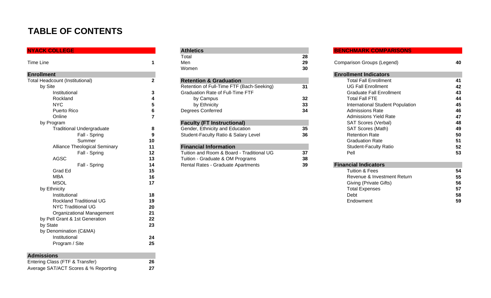### **TABLE OF CONTENTS**

| <b>NYACK COLLEGE</b>                   |              |
|----------------------------------------|--------------|
|                                        |              |
| <b>Time Line</b>                       | 1            |
| <b>Enrollment</b>                      |              |
| <b>Total Headcount (Institutional)</b> | $\mathbf{2}$ |
| by Site                                |              |
| Institutional                          | 3            |
| Rockland                               | 4            |
| <b>NYC</b>                             | 5            |
| Puerto Rico                            | 6            |
| Online                                 | 7            |
| by Program                             |              |
| <b>Traditional Undergraduate</b>       | 8            |
| Fall - Spring                          | 9            |
| Summer                                 | 10           |
| <b>Alliance Theological Seminary</b>   | 11           |
| Fall - Spring                          | 12           |
| <b>AGSC</b>                            | 13           |
| Fall - Spring                          | 14           |
| Grad Ed                                | 15           |
| <b>MBA</b>                             | 16           |
| <b>MSOL</b>                            | 17           |
| by Ethnicity                           |              |
| Institutional                          | 18           |
| <b>Rockland Traditional UG</b>         | 19           |
| <b>NYC Traditional UG</b>              | 20           |
| Organizational Management              | 21           |
| by Pell Grant & 1st Generation         | 22           |
| by State                               | 23           |
| by Denomination (C&MA)                 |              |
| Institutional                          | 24           |
| Program / Site                         | 25           |
| <b>Admissions</b>                      |              |
| Entering Class (FTF & Transfer)        | 26           |

Average SAT/ACT Scores & % Reporting **27**

| <b>NYACK COLLEGE</b>                 |     | <b>Athletics</b>                          |    | <b>BENCHMARK COMPARISONS</b>     |           |
|--------------------------------------|-----|-------------------------------------------|----|----------------------------------|-----------|
|                                      |     | Total                                     | 28 |                                  |           |
| Time Line                            |     | Men                                       | 29 | Comparison Groups (Legend)       | 40        |
|                                      |     | Women                                     | 30 |                                  |           |
| <b>Enrollment</b>                    |     |                                           |    | <b>Enrollment Indicators</b>     |           |
| Total Headcount (Institutional)      |     | <b>Retention &amp; Graduation</b>         |    | <b>Total Fall Enrollment</b>     | 41        |
| by Site                              |     | Retention of Full-Time FTF (Bach-Seeking) | 31 | <b>UG Fall Enrollment</b>        | 42        |
| Institutional                        |     | <b>Graduation Rate of Full-Time FTF</b>   |    | <b>Graduate Fall Enrollment</b>  | 43        |
| Rockland                             |     | by Campus                                 | 32 | <b>Total Fall FTE</b>            | 44        |
| NYC.                                 |     | by Ethnicity                              | 33 | International Student Population | 45        |
| Puerto Rico                          |     | <b>Degrees Conferred</b>                  | 34 | <b>Admissions Rate</b>           | 46        |
| Online                               |     |                                           |    | <b>Admissions Yield Rate</b>     | 47        |
| by Program                           |     | <b>Faculty (FT Instructional)</b>         |    | SAT Scores (Verbal)              | 48        |
| <b>Traditional Undergraduate</b>     | 8   | Gender, Ethnicity and Education           | 35 | SAT Scores (Math)                | 49        |
| Fall - Spring                        |     | Student-Faculty Ratio & Salary Level      | 36 | <b>Retention Rate</b>            | 50        |
| Summer                               | 10  |                                           |    | <b>Graduation Rate</b>           | 51        |
| <b>Alliance Theological Seminary</b> | 11  | <b>Financial Information</b>              |    | <b>Student-Faculty Ratio</b>     | 52        |
| Fall - Spring                        | 12  | Tuition and Room & Board - Traditional UG | 37 | Pell                             | 53        |
| <b>AGSC</b>                          | 13  | Tuition - Graduate & OM Programs          | 38 |                                  |           |
| Fall - Spring                        | 14  | Rental Rates - Graduate Apartments        | 39 | <b>Financial Indicators</b>      |           |
| Grad Ed                              | 15  |                                           |    | <b>Tuition &amp; Fees</b>        | 54        |
| <b>ALDA</b>                          | 4 C |                                           |    | Dovanue & Investment Deturn      | <b>EE</b> |

#### **BENCHMARK COMPARISONS**

|                | Men                                       | 29 | Comparison Groups (Legend)       | 40 |
|----------------|-------------------------------------------|----|----------------------------------|----|
|                | Women                                     | 30 |                                  |    |
|                |                                           |    | <b>Enrollment Indicators</b>     |    |
| $\overline{2}$ | <b>Retention &amp; Graduation</b>         |    | <b>Total Fall Enrollment</b>     | 41 |
|                | Retention of Full-Time FTF (Bach-Seeking) | 31 | <b>UG Fall Enrollment</b>        | 42 |
| 3              | <b>Graduation Rate of Full-Time FTF</b>   |    | <b>Graduate Fall Enrollment</b>  | 43 |
| 4              | by Campus                                 | 32 | <b>Total Fall FTE</b>            | 44 |
| 5              | by Ethnicity                              | 33 | International Student Population | 45 |
| 6              | Degrees Conferred                         | 34 | Admissions Rate                  | 46 |
|                |                                           |    | Admissions Yield Rate            | 47 |
|                | <b>Faculty (FT Instructional)</b>         |    | <b>SAT Scores (Verbal)</b>       | 48 |
| 8              | Gender, Ethnicity and Education           | 35 | SAT Scores (Math)                | 49 |
| 9              | Student-Faculty Ratio & Salary Level      | 36 | <b>Retention Rate</b>            | 50 |
| 0              |                                           |    | <b>Graduation Rate</b>           | 51 |
|                | <b>Financial Information</b>              |    | <b>Student-Faculty Ratio</b>     | 52 |
| 2              | Tuition and Room & Board - Traditional UG | 37 | Pell                             | 53 |
| 3              | Tuition - Graduate & OM Programs          | 38 |                                  |    |
| 4              | Rental Rates - Graduate Apartments        | 39 | <b>Financial Indicators</b>      |    |
| 5              |                                           |    | Tuition & Fees                   | 54 |
| 6              |                                           |    | Revenue & Investment Return      | 55 |

| <b>MBA</b>                     | 16 | Revenue & Investment Return | 55 |
|--------------------------------|----|-----------------------------|----|
| <b>MSOL</b>                    |    | Giving (Private Gifts)      | 56 |
| by Ethnicity                   |    | <b>Total Expenses</b>       | 57 |
| Institutional                  | 18 | Debt                        | 58 |
| <b>Rockland Traditional UG</b> | 19 | Endowment                   | 59 |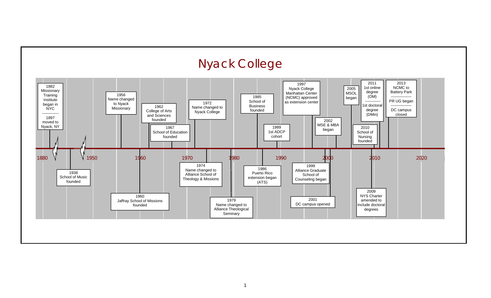

#### 1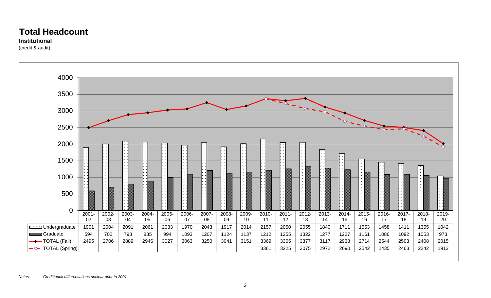### **Total Headcount**

#### **Institutional**

(credit & audit)

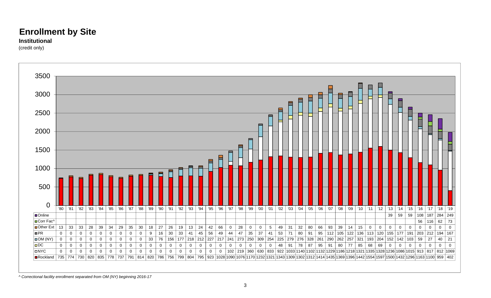#### **Institutional**

(credit only)



*^ Correctional facility enrollment separated from OM (NY) beginning 2016-17*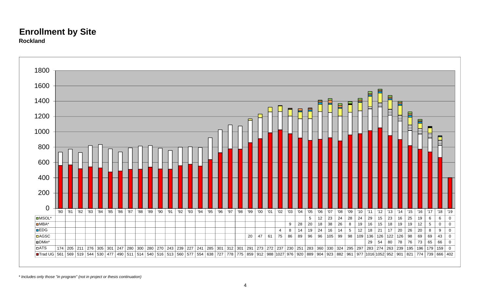



*\* Includes only those "in program" (not in project or thesis continuation)*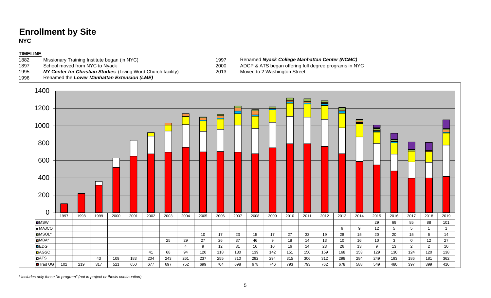**NYC**

#### **TIMELINE**

- 1882 Missionary Training Institute began (in NYC) 1997 Renamed **Nyack College Manhattan Center (NCMC)**<br>1897 School moved from NYC to Nyack 1897 1897 ADCP & ATS began offering full degree programs in N
- 
- 1995**NY Center for Christian Studies** (Living Word Church facility) 2013 Moved to 2 Washington Street
- 1996Renamed the *Lower Manhattan Extension (LME)*
- 
- 1897 School moved from NYC to Nyack 2000 ADCP & ATS began offering full degree programs in NYC
	-



*\* Includes only those "in program" (not in project or thesis continuation)*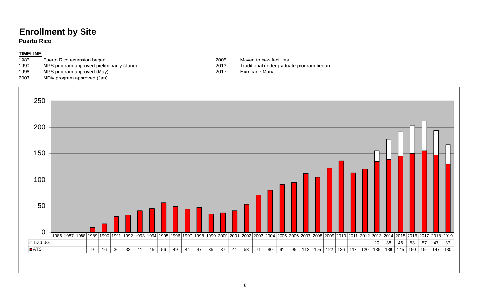**Puerto Rico**

**OTrad UG** 

0

50

100

150

200

250

**DATS** 

#### **TIMELINE**

- 
- 1986 Puerto Rico extension began<br>
1990 MPS program approved preliminarily (June)<br>
2013 Traditional undergraduate program began MPS program approved preliminarily (June)
- 1996 MPS program approved (May) 2017 Hurricane Maria
- 2003 MDiv program approved (Jan)
	-

1986 1987 1988 1989 1990 1991 1992 1993 1994 1995 1996 1997 1998 1999 2000 2001 2002 2003 2004 2005 2006 2007 2008 2009 2010 2011 2012 2013 2014 2015 2016 2017 2018 2019

9 16 30 33 41 45 56 49 44 47 35 37 41 53 71 80 91 95 112 105 122 136 113 120 135 139 145 150 155 147 130

20 38 46 53 57 47 37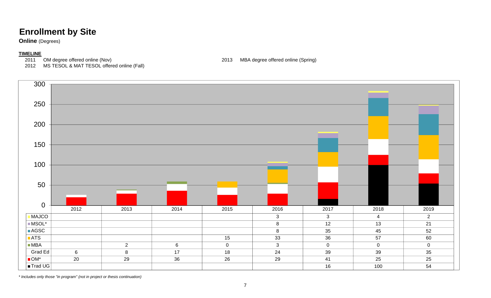**Online** (Degrees)

#### **TIMELINE**

2012 MS TESOL & MAT TESOL offered online (Fall)

2011 OM degree offered online (Nov) 2013 MBA degree offered online (Spring)



*\* Includes only those "in program" (not in project or thesis continuation)*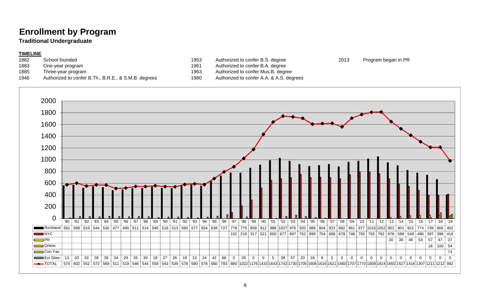### **Enrollment by Program**

#### **Traditional Undergraduate**

#### **TIMELINE**

- 
- 
- 
- 1946 Authorized to confer B.Th., B.R.E., & S.M.B. degrees 1980 Authorized to confer A.A. & A.S. degrees
- 1882 School founded **1953** Authorized to confer B.S. degree 2013 Program began in PR
- 1883 One-year program 1961 Authorized to confer B.A. degree
- 1885 Three-year program 1963 Authorized to confer Mus.B. degree
	-

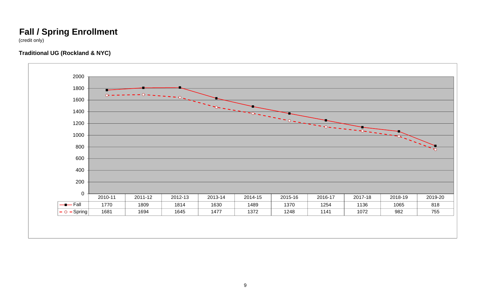### **Fall / Spring Enrollment**

(credit only)

#### **Traditional UG (Rockland & NYC)**

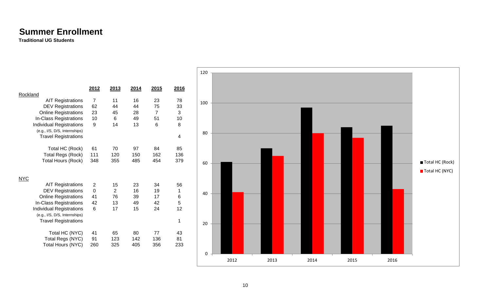### **Summer Enrollment**

**Traditional UG Students**

|                                 |                     |                |      |                |                | 120      |      |      |      |      |      |                 |  |
|---------------------------------|---------------------|----------------|------|----------------|----------------|----------|------|------|------|------|------|-----------------|--|
|                                 |                     |                |      |                |                |          |      |      |      |      |      |                 |  |
|                                 | 2012                | 2013           | 2014 | 2015           | 2016           |          |      |      |      |      |      |                 |  |
| Rockland                        |                     |                |      |                |                |          |      |      |      |      |      |                 |  |
| <b>AIT Registrations</b>        | $\overline{7}$      | 11             | 16   | 23             | 78             | 100      |      |      |      |      |      |                 |  |
| <b>DEV Registrations</b>        | 62                  | 44             | 44   | 75             | 33             |          |      |      |      |      |      |                 |  |
| <b>Online Registrations</b>     | 23                  | 45             | 28   | $\overline{7}$ | $\sqrt{3}$     |          |      |      |      |      |      |                 |  |
| In-Class Registrations          | 10                  | $\,6\,$        | 49   | 51             | 10             |          |      |      |      |      |      |                 |  |
| <b>Individual Registrations</b> | 9                   | 14             | 13   | $\,6\,$        | $\,8\,$        |          |      |      |      |      |      |                 |  |
| (e.g., I/S, D/S, Internships)   |                     |                |      |                |                | 80       |      |      |      |      |      |                 |  |
| <b>Travel Registrations</b>     |                     |                |      |                | 4              |          |      |      |      |      |      |                 |  |
| Total HC (Rock)                 | 61                  | 70             | 97   | 84             | 85             |          |      |      |      |      |      |                 |  |
| <b>Total Regs (Rock)</b>        | 111                 | 120            | 150  | 162            | 136            |          |      |      |      |      |      |                 |  |
| <b>Total Hours (Rock)</b>       | 348                 | 355            | 485  | 454            | 379            |          |      |      |      |      |      |                 |  |
|                                 |                     |                |      |                |                | 60       |      |      |      |      |      | Total HC (Rock) |  |
|                                 |                     |                |      |                |                |          |      |      |      |      |      | Total HC (NYC)  |  |
| <b>NYC</b>                      |                     |                |      |                |                |          |      |      |      |      |      |                 |  |
| <b>AIT Registrations</b>        | $\overline{c}$      | 15             | 23   | 34             | 56             |          |      |      |      |      |      |                 |  |
| <b>DEV Registrations</b>        | $\mathsf{O}\xspace$ | $\overline{2}$ | 16   | 19             | $\overline{1}$ |          |      |      |      |      |      |                 |  |
| <b>Online Registrations</b>     | 41                  | 76             | 39   | 17             | $\,6\,$        | 40       |      |      |      |      |      |                 |  |
| In-Class Registrations          | 42                  | 13             | 49   | 42             | $\sqrt{5}$     |          |      |      |      |      |      |                 |  |
| <b>Individual Registrations</b> | 6                   | 17             | 15   | 24             | 12             |          |      |      |      |      |      |                 |  |
| (e.g., I/S, D/S, Internships)   |                     |                |      |                |                |          |      |      |      |      |      |                 |  |
| <b>Travel Registrations</b>     |                     |                |      |                | -1             |          |      |      |      |      |      |                 |  |
|                                 |                     |                |      |                |                | 20       |      |      |      |      |      |                 |  |
| Total HC (NYC)                  | 41                  | 65             | 80   | 77             | 43             |          |      |      |      |      |      |                 |  |
| Total Regs (NYC)                | 91                  | 123            | 142  | 136            | 81             |          |      |      |      |      |      |                 |  |
| Total Hours (NYC)               | 260                 | 325            | 405  | 356            | 233            |          |      |      |      |      |      |                 |  |
|                                 |                     |                |      |                |                |          |      |      |      |      |      |                 |  |
|                                 |                     |                |      |                |                | $\Omega$ |      |      |      |      |      |                 |  |
|                                 |                     |                |      |                |                |          | 2012 | 2013 | 2014 | 2015 | 2016 |                 |  |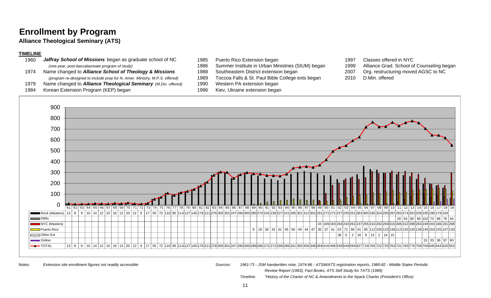### **Enrollment by Program**

**Alliance Theological Seminary (ATS)**

#### **TIMELINE**

| 1960 | Jaffray School of Missions began as graduate school of NC                   | 1985 | Puerto Rico Extension began     |
|------|-----------------------------------------------------------------------------|------|---------------------------------|
|      | (one-year, post-baccalaureate program of study)                             | 1986 | Summer Institute in Urban Mini  |
| 1974 | Name changed to Alliance School of Theology & Missions                      | 1988 | Southeastern District extension |
|      | (program re-designed to include prep for N. Amer. Ministry, M.P.S. offered) | 1989 | Toccoa Falls & St. Paul Bible C |
| 1979 | Name changed to <b>Alliance Theological Seminary</b> (M.Div. offered)       | 1990 | Western PA extension began      |
| 1984 | Korean Extension Program (KEP) began                                        | 1996 | Kiev, Ukraine extension began   |

- *Jaffray School of Missions* began as graduate school of NC 1985 Puerto Rico Extension began 1997 Classes offered in NYC
- 1986 Summer Institute in Urban Ministries (SIUM) began 1999 Alliance Grad. School of Counseling began
- 
- *(program re-designed to include prep for N. Amer. Ministry, M.P.S. offered)* 1989 Toccoa Falls & St. Paul Bible College exts began 2010 D.Min. offered
- Name changed to *Alliance Theological Seminary (M.Div. offered)* 1990 Western PA extension began
- 
- 
- 
- Name changed to *Alliance School of Theology & Missions* 1988 Southeastern District extension began 2007 Org. restructuring moved AGSC to NC
	-



Notes:

 *Extension site enrollment figures not readily accessible Sources: 1961-73 - JSM handwritten note, 1974-86 - ATSM/ATS registration reports, 1980-82 - Middle States Periodic Review Report (1983), Fact Books, ATS Self Study for TATS (1989)*

*Timeline: "History of the Charter of NC & Amendments to the Nyack Charter (President's Office)*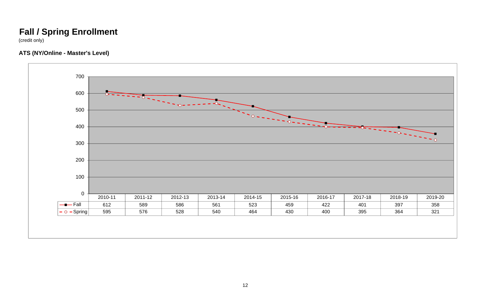### **Fall / Spring Enrollment**

(credit only)

#### **ATS (NY/Online - Master's Level)**

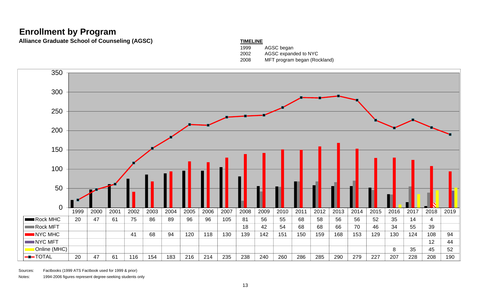### **Enrollment by Program**

Alliance Graduate School of Counseling (AGSC) **TIMELINE** 

### 1999 AGSC began 2002 AGSC expanded to NYC 2008 MFT program began (Rockland)



Sources: Factbooks (1999 ATS Factbook used for 1999 & prior)

Notes: 1994-2006 figures represent degree-seeking students only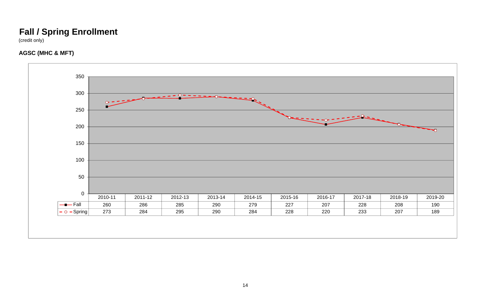## **Fall / Spring Enrollment**

(credit only)

#### **AGSC (MHC & MFT)**

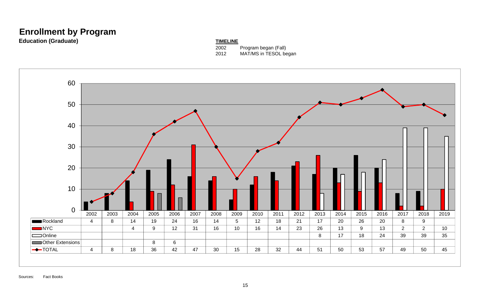### **Enrollment by Program**

**Education (Graduate) TIMELINE** 

2002 Program began (Fall) 2012 MAT/MS in TESOL began

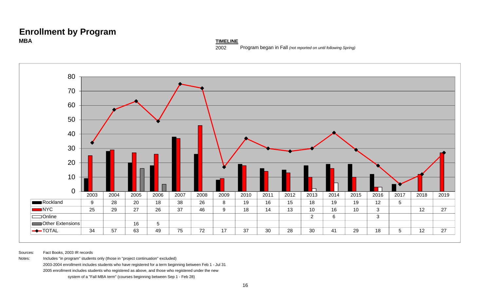#### **Enrollment by Program MBA**

**TIMELINE**

2002Program began in Fall *(not reported on until following Spring)*



Sources: Fact Books, 2003 IR records

Notes: Includes "in program" students only (those in "project continuation" excluded)

2003-2004 enrollment includes students who have registered for a term beginning between Feb 1 - Jul 31

2005 enrollment includes students who registered as above, and those who registered under the new

system of a "Fall MBA term" (courses beginning between Sep 1 - Feb 28)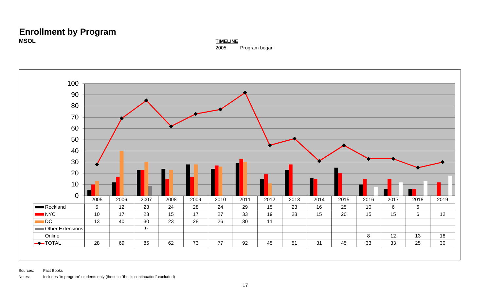#### **Enrollment by Program MSOLTIMELINE**

2005 Program began

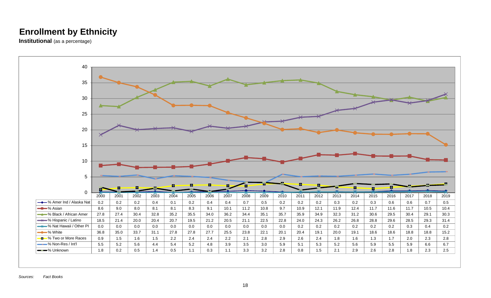**Institutional** (as a percentage)

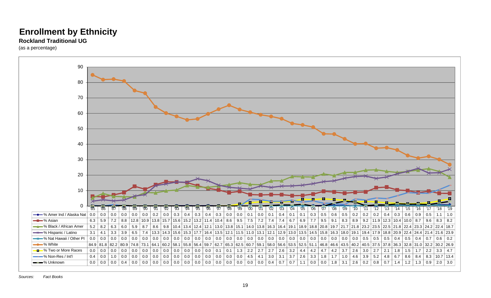#### **Rockland Traditional UG**

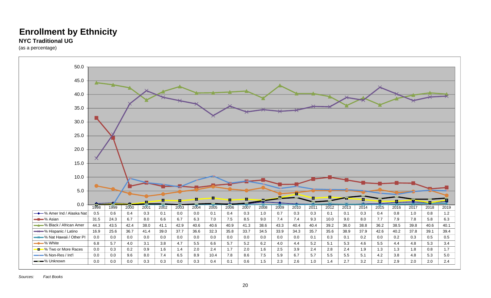#### **NYC Traditional UG**

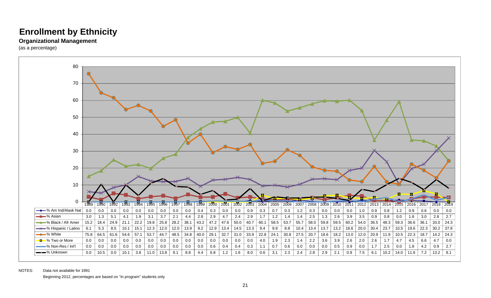#### **Organizational Management**

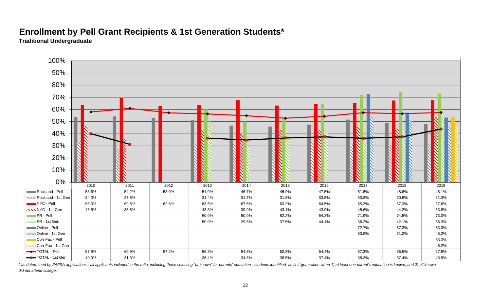### **Enrollment by Pell Grant Recipients & 1st Generation Students\***

**Traditional Undergraduate**



\* as determined by FAFSA applications - all applicants included in the ratio, including those selecting "unknown" for parents' education - students identified as first-generation when 1) at least one parent's education is *did not attend college.*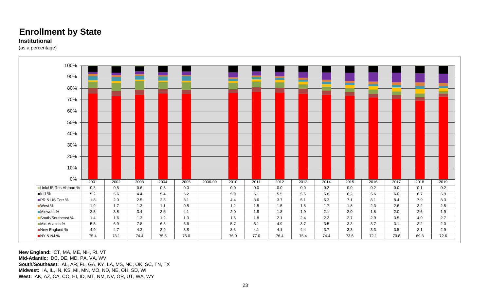#### **Institutional**

(as a percentage)



**New England:** CT, MA, ME, NH, RI, VT **Mid-Atlantic:** DC, DE, MD, PA, VA, WV **South/Southeast:** AL, AR, FL, GA, KY, LA, MS, NC, OK, SC, TN, TX **Midwest:** IA, IL, IN, KS, MI, MN, MO, ND, NE, OH, SD, WI **West:** AK, AZ, CA, CO, HI, ID, MT, NM, NV, OR, UT, WA, WY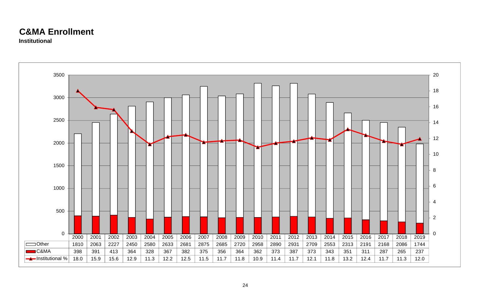### **C&MA Enrollment**

**Institutional**

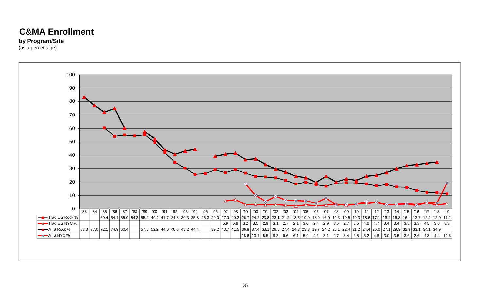### **C&MA Enrollment**

#### **by Program/Site**

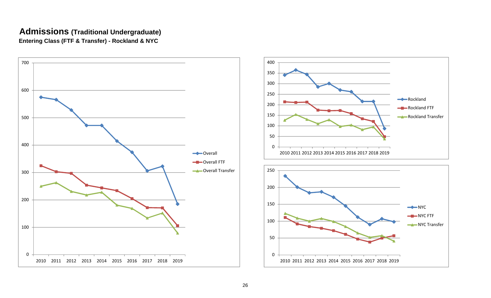#### **Admissions (Traditional Undergraduate) Entering Class (FTF & Transfer) - Rockland & NYC**





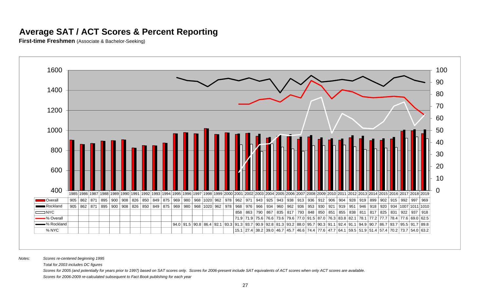### **Average SAT / ACT Scores & Percent Reporting**

**First-time Freshmen** (Associate & Bachelor-Seeking)



*Notes: Scores re-centered beginning 1995*

*Total for 2003 includes DC figures*

*Scores for 2005 (and potentially for years prior to 1997) based on SAT scores only. Scores for 2006-present include SAT equivalents of ACT scores when only ACT scores are available.*

*Scores for 2006-2009 re-calculated subsequent to Fact Book publishing for each year*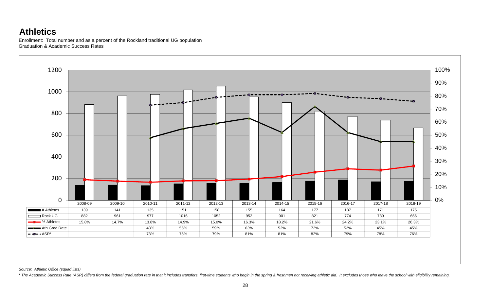### **Athletics**

Enrollment: Total number and as a percent of the Rockland traditional UG population Graduation & Academic Success Rates



*Source: Athletic Office (squad lists)*

\* The Academic Success Rate (ASR) differs from the federal graduation rate in that it includes transfers, first-time students who begin in the spring & freshmen not receiving athletic aid. It excludes those who leave the s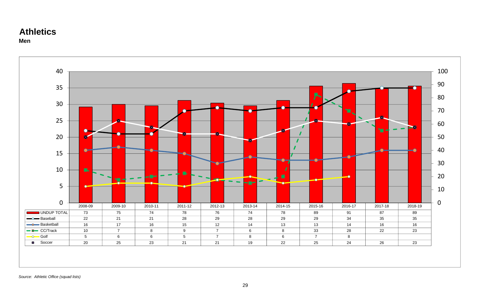#### **Athletics Men**

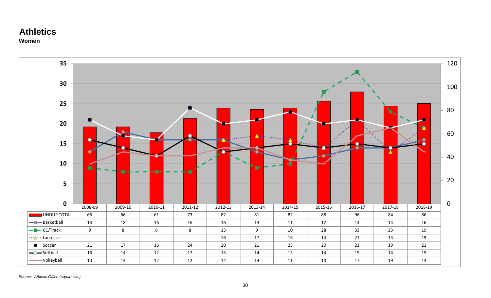#### **Athletics Women**



*Source: Athletic Office (squad lists)*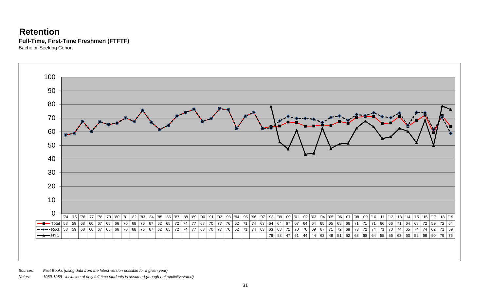### **Retention Full-Time, First-Time Freshmen (FTFTF)**

Bachelor-Seeking Cohort



*Sources: Fact Books (using data from the latest version possible for a given year)*

*Notes: 1980-1989 - inclusion of only full-time students is assumed (though not explicity stated)*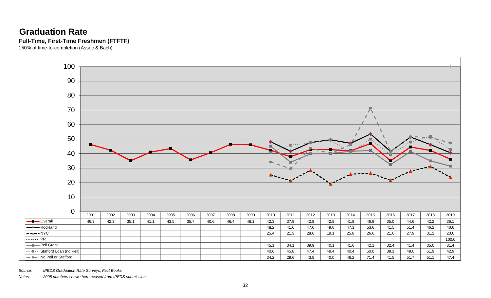### **Graduation RateFull-Time, First-Time Freshmen (FTFTF)**

150% of time-to-completion (Assoc & Bach)



*Source: IPEDS Graduation Rate Surveys, Fact Books*

*Notes: 2008 numbers shown here revised from IPEDS submission*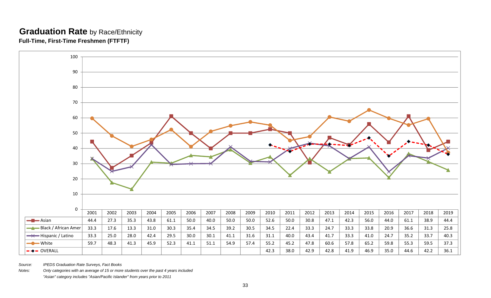#### **Graduation Rate** by Race/Ethnicity **Full-Time, First-Time Freshmen (FTFTF)**



*Source: IPEDS Graduation Rate Surveys, Fact Books*

*Notes: Only categories with an average of 15 or more students over the past 4 years included*

*"Asian" category includes "Asian/Pacific Islander" from years prior to 2011*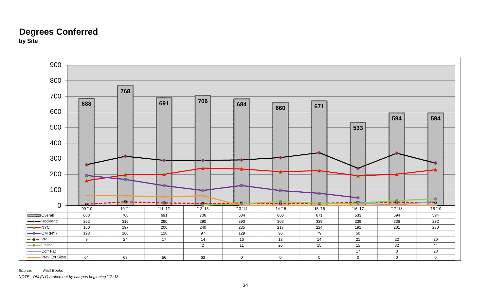### **Degrees Conferred by Site**



*Source: Fact BooksNOTE: OM (NY) broken out by campus beginning '17-'18*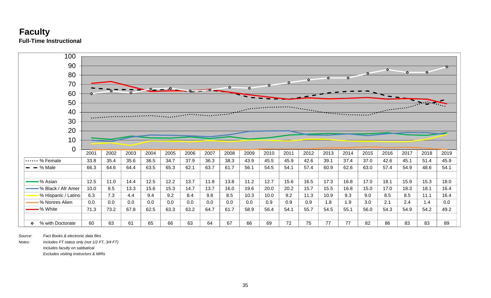



*Source: Fact Books & electronic data files*

*Notes: Includes FT status only (not 1/2 FT, 3/4 FT)*

*Includes faculty on sabbatical*

*Excludes visiting instructors & MIRs*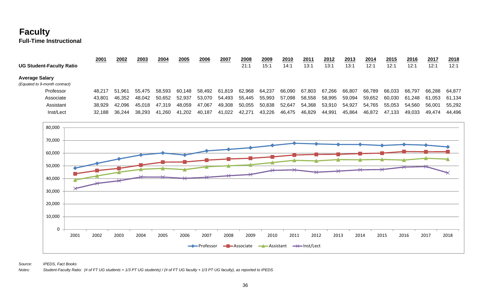### **Faculty Full-Time Instructional**

|                                 | 2001   | 2002   | 2003   | 2004   | 2005   | 2006   | 2007   | 2008   | 2009   | 2010   | 201'   | 2012   | 2013   | 2014   | 2015   | 2016   | 2017   | 2018   |
|---------------------------------|--------|--------|--------|--------|--------|--------|--------|--------|--------|--------|--------|--------|--------|--------|--------|--------|--------|--------|
| <b>UG Student-Faculty Ratio</b> |        |        |        |        |        |        |        | 21:1   | 15:1   | 14:1   | 13:1   | 13:1   | 13:1   | 12:1   | 12:1   | 12:1   | 12:1   | 12:1   |
| <b>Average Salary</b>           |        |        |        |        |        |        |        |        |        |        |        |        |        |        |        |        |        |        |
| (Equated to 9-month contract)   |        |        |        |        |        |        |        |        |        |        |        |        |        |        |        |        |        |        |
| Professor                       | 48.217 | 51.961 | 55.475 | 58.593 | 60.148 | 58.492 | 61.819 | 62.968 | 64,237 | 66.090 | 67.803 | 67.266 | 66,807 | 66.789 | 66.033 | 66.797 | 66.288 | 64.877 |
| Associate                       | 43.801 | 46.352 | 48.042 | 50.652 | 52.937 | 53.070 | 54.493 | 55,445 | 55,993 | 57,098 | 58,558 | 58,995 | 59,094 | 59,652 | 60,030 | 61.248 | 61,053 | 61.134 |
| Assistant                       | 38.929 | 42.096 | 45.018 | 47.319 | 48.059 | 47,067 | 49.308 | 50,055 | 50,838 | 52,647 | 54,368 | 53,910 | 54.927 | 54,765 | 55.053 | 54.560 | 56.001 | 55,292 |
| Inst/Lect                       | 32.188 | 36.244 | 38.293 | 41.260 | 41,202 | 40.187 | 41,022 | 42,271 | 43,226 | 46,475 | 46,829 | 44,991 | 45,864 | 46,872 | 47.133 | 49.033 | 49.474 | 44.496 |



*Source: IPEDS, Fact Books*

*Notes: Student-Faculty Ratio: (# of FT UG students + 1/3 PT UG students) / (# of FT UG faculty + 1/3 PT UG faculty), as reported to IPEDS*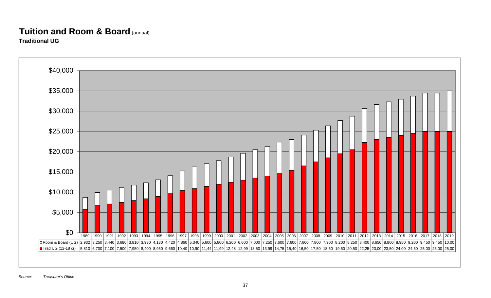# **Tuition and Room & Board** (annual)

**Traditional UG**

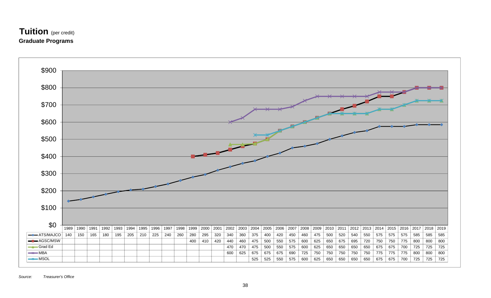### **Tuition** (per credit) **Graduate Programs**

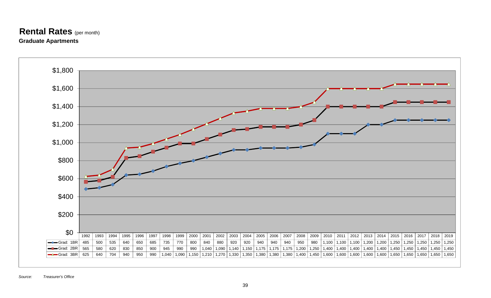#### **Rental Rates** (per month) **Graduate Apartments**

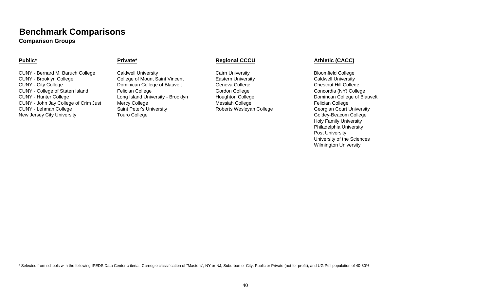**Comparison Groups**

#### **Public\***

CUNY - Bernard M. Baruch College Caldwell University Cairn University Cairn University Bloomfield College CUNY - Brooklyn College College of Mount Saint Vincent Eastern University Caldwell University CUNY - City College CUNY - City College College COMInican College of Blauvelt College College Chestnut Hill College CUNY - College of Staten Island Felician College CUNY - College CONCOLLEGE Gordon College Concordia (NY) College CUNY - Hunter College **Long Island University - Brooklyn** Houghton College **No. 2016** Domincan College of Blauvelt CUNY - John Jay College of Crim Just Mercy College Messiah College Messiah College Felician College CUNY - Lehman College Saint Peter's University **Saint Peter's University** Roberts Wesleyan College Georgian Court University New Jersey City University **Subsetimate College** Touro College Goldey-Beacom College Goldey-Beacom College

#### **Private\* Regional CCCU Athletic (CACC)**

Holy Family University Philadelphia University Post University University of the Sciences Wilmington University

\* Selected from schools with the following IPEDS Data Center criteria: Carnegie classification of "Masters", NY or NJ, Suburban or City, Public or Private (not for profit), and UG Pell population of 40-80%.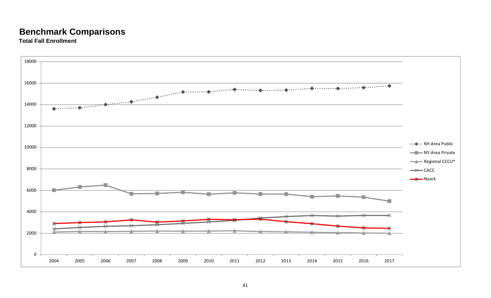**Total Fall Enrollment**

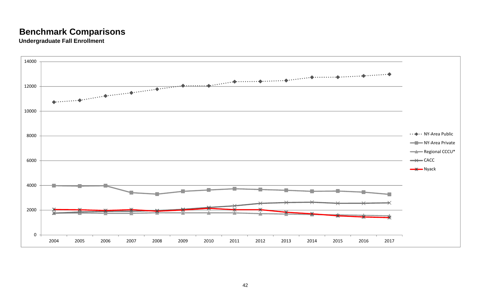**Undergraduate Fall Enrollment**

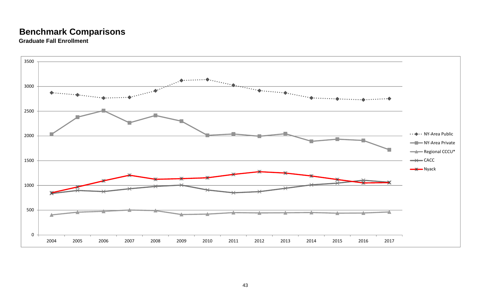**Graduate Fall Enrollment**

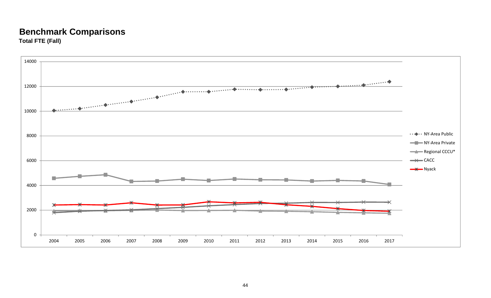### **Benchmark Comparisons Total FTE (Fall)**

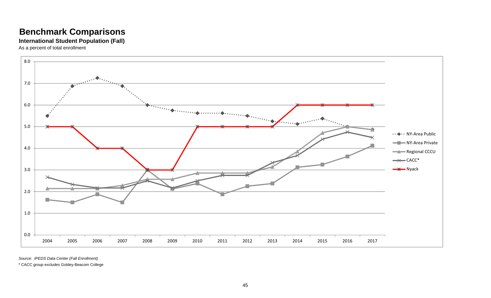#### **International Student Population (Fall)**

As a percent of total enrollment



*Source: IPEDS Data Center (Fall Enrollment)*

\* CACC group excludes Goldey-Beacom College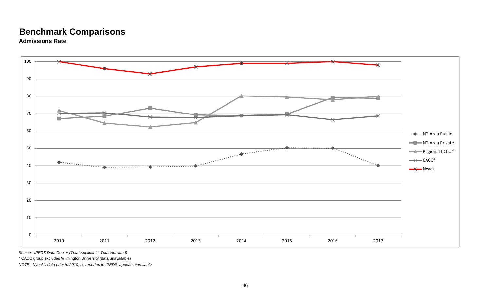**Admissions Rate**



*Source: IPEDS Data Center (Total Applicants, Total Admitted)*

\* CACC group excludes Wilmington University (data unavailable)

*NOTE: Nyack's data prior to 2010, as reported to IPEDS, appears unreliable*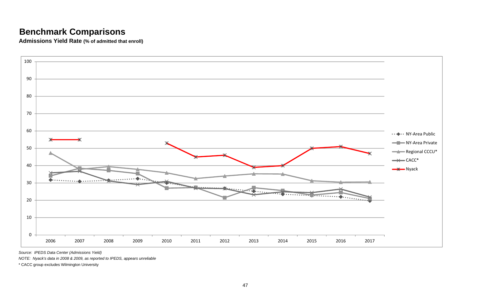**Admissions Yield Rate (% of admitted that enroll)**



*Source: IPEDS Data Center (Admissions Yield)*

*NOTE: Nyack's data in 2008 & 2009, as reported to IPEDS, appears unreliable*

\* CACC group excludes Wilmington University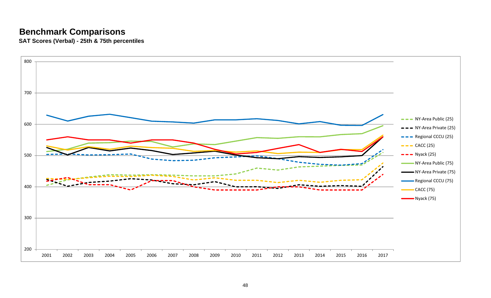**SAT Scores (Verbal) - 25th & 75th percentiles**

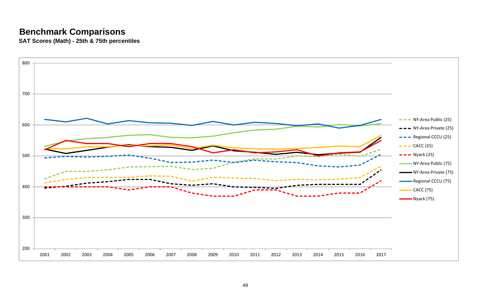**SAT Scores (Math) - 25th & 75th percentiles**

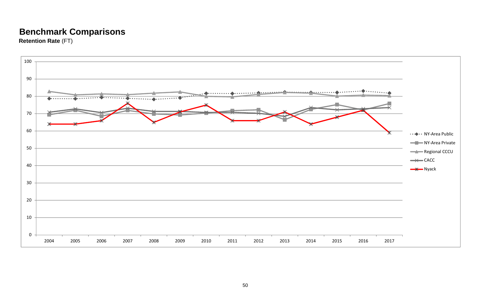**Retention Rate** (FT)

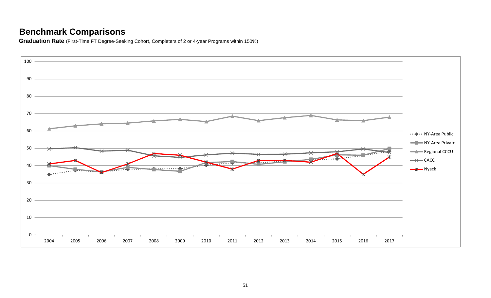**Graduation Rate** (First-Time FT Degree-Seeking Cohort, Completers of 2 or 4-year Programs within 150%)

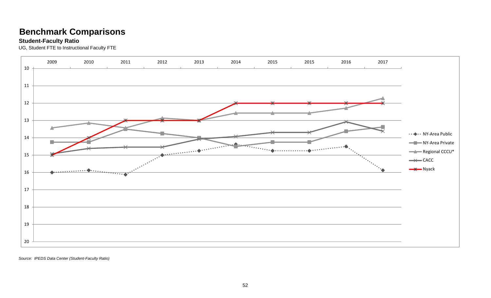#### **Student-Faculty Ratio**

UG, Student FTE to Instructional Faculty FTE



*Source: IPEDS Data Center (Student-Faculty Ratio)*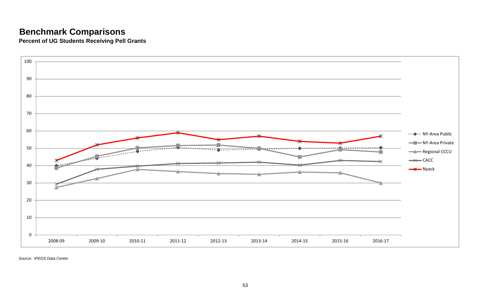**Percent of UG Students Receiving Pell Grants**



*Source: IPEDS Data Center*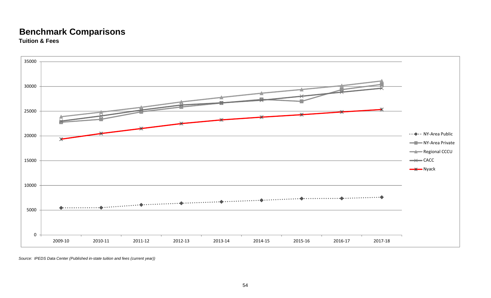#### **Benchmark Comparisons Tuition & Fees**



*Source: IPEDS Data Center (Published in-state tuition and fees (current year))*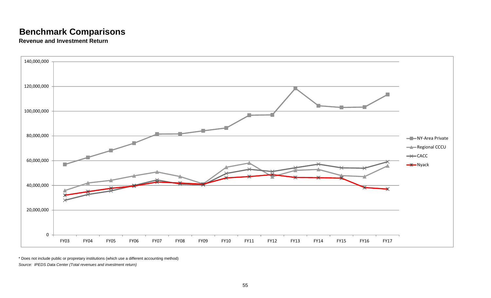**Revenue and Investment Return**



\* Does not include public or propretary institutions (which use a different accounting method) *Source: IPEDS Data Center (Total revenues and investment return)*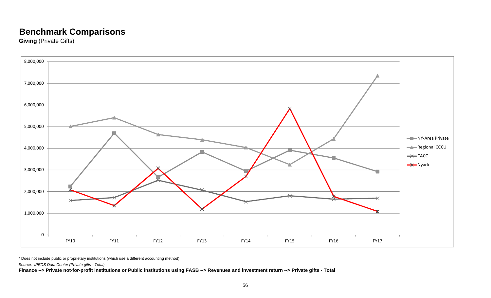**Giving (Private Gifts)** 



\* Does not include public or proprietary institutions (which use a different accounting method)

*Source: IPEDS Data Center (Private gifts - Total)*

**Finance --> Private not-for-profit institutions or Public institutions using FASB --> Revenues and investment return --> Private gifts - Total**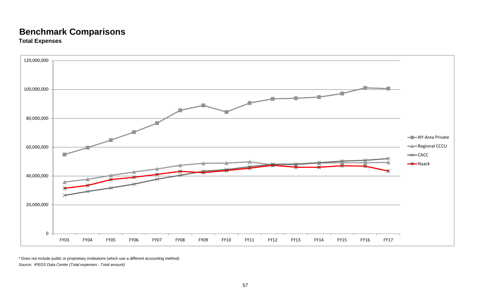### **Benchmark Comparisons Total Expenses**



\* Does not include public or proprietary institutions (which use a different accounting method) *Source: IPEDS Data Center (Total expenses - Total amount)*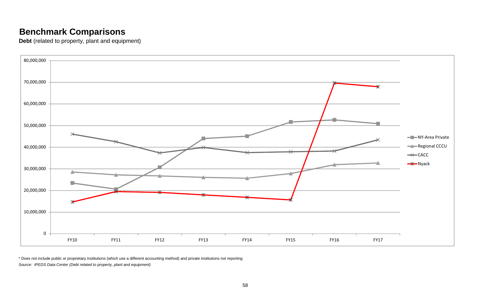**Debt** (related to property, plant and equipment)



\* Does not include public or proprietary institutions (which use a different accounting method) and private institutions not reporting *Source: IPEDS Data Center (Debt related to property, plant and equipment)*